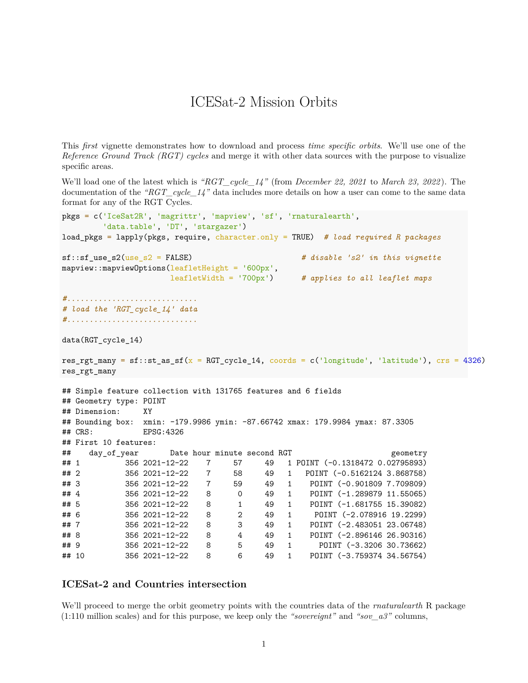## ICESat-2 Mission Orbits

This *first* vignette demonstrates how to download and process *time specific orbits*. We'll use one of the *Reference Ground Track (RGT) cycles* and merge it with other data sources with the purpose to visualize specific areas.

We'll load one of the latest which is *"RGT\_cycle\_14"* (from *December 22, 2021* to *March 23, 2022* ). The documentation of the *"RGT\_cycle\_14"* data includes more details on how a user can come to the same data format for any of the RGT Cycles.

```
pkgs = c('IceSat2R', 'magrittr', 'mapview', 'sf', 'rnaturalearth',
       'data.table', 'DT', 'stargazer')
load_pkgs = lapply(pkgs, require, character.only = TRUE) # load required R packages
sf::sf_use_s2(use_s2 = FALSE) # disable 's2' in this vignette
mapview::mapviewOptions(leafletHeight = '600px',
                   leafletWidth = '700px') # applies to all leaflet maps
#.............................
# load the 'RGT_cycle_14' data
#.............................
data(RGT_cycle_14)
res_rgt_many = sf::st_as_sf(x = RGT_cycle_14, \text{coords} = c('longitude', 'latitude'), \text{crs} = 4326)res_rgt_many
## Simple feature collection with 131765 features and 6 fields
## Geometry type: POINT
## Dimension: XY
## Bounding box: xmin: -179.9986 ymin: -87.66742 xmax: 179.9984 ymax: 87.3305
## CRS: EPSG:4326
## First 10 features:
## day_of_year Date hour minute second RGT geometry
## 1 356 2021-12-22 7 57 49 1 POINT (-0.1318472 0.02795893)
## 2 356 2021-12-22 7 58 49 1 POINT (-0.5162124 3.868758)
## 3 356 2021-12-22 7 59 49 1 POINT (-0.901809 7.709809)
## 4 356 2021-12-22 8 0 49 1 POINT (-1.289879 11.55065)
## 5 356 2021-12-22 8 1 49 1 POINT (-1.681755 15.39082)
## 6 356 2021-12-22 8 2 49 1 POINT (-2.078916 19.2299)
## 7 356 2021-12-22 8 3 49 1 POINT (-2.483051 23.06748)
## 8 356 2021-12-22 8 4 49 1 POINT (-2.896146 26.90316)
## 9 356 2021-12-22 8 5 49 1 POINT (-3.3206 30.73662)
## 10 356 2021-12-22 8 6 49 1 POINT (-3.759374 34.56754)
```
## **ICESat-2 and Countries intersection**

We'll proceed to merge the orbit geometry points with the countries data of the *rnaturalearth* R package (1:110 million scales) and for this purpose, we keep only the *"sovereignt"* and *"sov\_a3"* columns,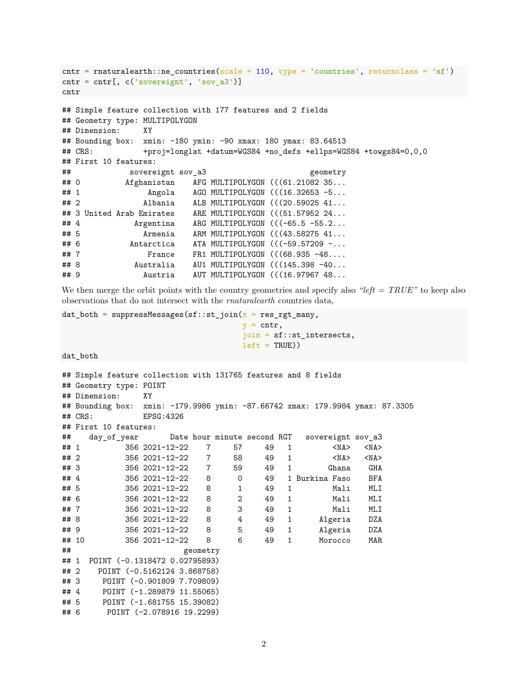```
cntr = rnaturalearth::ne_countries(scale = 110, type = 'countries', returnclass = 'sf')
\text{cntr} = \text{cntr}[, c('sovereight', 'sov_a3')]
cntr
## Simple feature collection with 177 features and 2 fields
## Geometry type: MULTIPOLYGON
## Dimension: XY
## Bounding box: xmin: -180 ymin: -90 xmax: 180 ymax: 83.64513
## CRS: +proj=longlat +datum=WGS84 +no_defs +ellps=WGS84 +towgs84=0,0,0
## First 10 features:
## sovereignt sov a3 geometry
## 0 Afghanistan AFG MULTIPOLYGON (((61.21082 35...
## 1 Angola AGO MULTIPOLYGON (((16.32653 -5...
## 2 Albania ALB MULTIPOLYGON (((20.59025 41...
## 3 United Arab Emirates ARE MULTIPOLYGON (((51.57952 24...
## 4 Argentina ARG MULTIPOLYGON (((-65.5 -55.2...
## 5 Armenia ARM MULTIPOLYGON (((43.58275 41...
## 6 Antarctica ATA MULTIPOLYGON (((-59.57209 -...
## 7 France FR1 MULTIPOLYGON (((68.935 -48....
## 8 Australia AU1 MULTIPOLYGON (((145.398 -40...
## 9 Austria AUT MULTIPOLYGON (((16.97967 48...
```
We then merge the orbit points with the country geometries and specify also *"left = TRUE"* to keep also observations that do not intersect with the *rnaturalearth* countries data,

```
dat both = suppressMessages(sf::st_join(x = res_rgt_many,
                                           y = \text{cntr},
                                            join = sf::st_intersects,
                                           left = TRUE))
```
dat\_both

```
## Simple feature collection with 131765 features and 8 fields
## Geometry type: POINT
## Dimension: XY
## Bounding box: xmin: -179.9986 ymin: -87.66742 xmax: 179.9984 ymax: 87.3305
## CRS: EPSG:4326
## First 10 features:
## day_of_year Date hour minute second RGT sovereignt sov_a3
## 1 356 2021-12-22 7 57 49 1 <NA> <NA>
## 2 356 2021-12-22 7 58 49 1 <NA> <NA>
## 3 356 2021-12-22 7 59 49 1 Ghana GHA
## 4 356 2021-12-22 8 0 49 1 Burkina Faso BFA
## 5 356 2021-12-22 8 1 49 1 Mali MLI
## 6 356 2021-12-22 8 2 49 1 Mali MLI
## 7 356 2021-12-22 8 3 49 1 Mali MLI
## 8 356 2021-12-22 8 4 49 1 Algeria DZA
## 9 356 2021-12-22 8 5 49 1 Algeria DZA
## 10 356 2021-12-22 8 6 49 1 Morocco MAR
## geometry
## 1 POINT (-0.1318472 0.02795893)
## 2 POINT (-0.5162124 3.868758)
## 3 POINT (-0.901809 7.709809)
## 4 POINT (-1.289879 11.55065)
## 5 POINT (-1.681755 15.39082)
## 6 POINT (-2.078916 19.2299)
```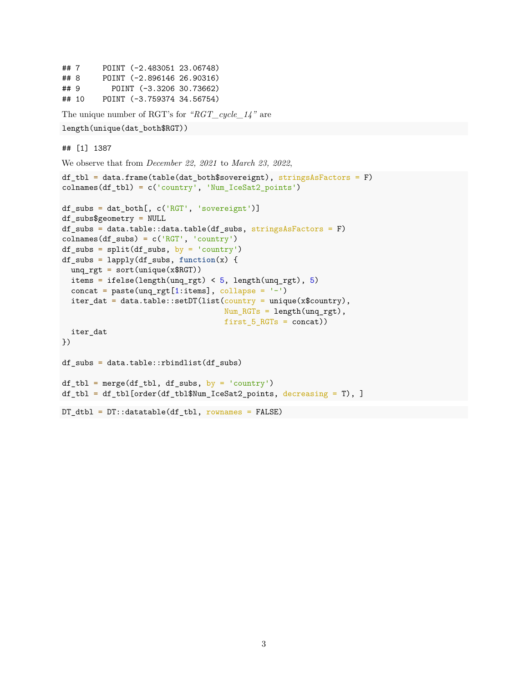```
## 7 POINT (-2.483051 23.06748)
## 8 POINT (-2.896146 26.90316)
## 9 POINT (-3.3206 30.73662)
## 10 POINT (-3.759374 34.56754)
The unique number of RGT's for "RGT_cycle_14" are
length(unique(dat_both$RGT))
## [1] 1387
We observe that from December 22, 2021 to March 23, 2022,
df tbl = data.frame(table(dat both$sovereignt), stringsAsFactors = F)
colnames(df_tbl) = c('country', 'Num_IceSat2_points')
df_subs = dat_both[, c('RGT', 'sovereignt')]
df_subs$geometry = NULL
df_subs = data.table::data.table(df_subs, stringsAsFactors = F)
colnames(df_subs) = c('RGT', 'country')df_subs = split(df_subs, by = 'country')df_subs = lapply(df_subs, function(x) {
  ung_rgt = sort(unique(x$RGT))items = ifelse(length(unq_rgt) < 5, length(unq_rgt), 5)
  concat = paste(unq_rgt[1:items], collapse = '-')
  iter_data = data_table::setDT(list(country = unique(x$country),Num_RGTs = length(ung_rgt),
                                   first_5_RGTs = concat)iter_dat
})
df_subs = data.table::rbindlist(df_subs)
df_tbl = merge(df_tbl, df_subs, by = 'country')df_tbl = df_tbl[order(df_tbl$Num_IceSat2\_points, decreasing = T), ]DT_dtb1 = DT::datatable(df_tbl, rownames = FALSE)
```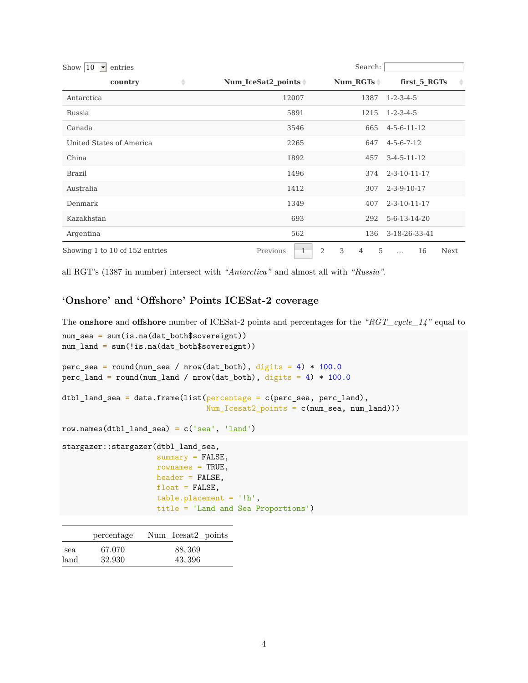| Show $ 10 $ $\bullet$ entries  |                                  | Search:       |                               |
|--------------------------------|----------------------------------|---------------|-------------------------------|
| ÷<br>country                   | Num IceSat2 points $\frac{1}{7}$ | Num $RGTs =$  | first_5_RGTs<br>$\Rightarrow$ |
| Antarctica                     | 12007                            | 1387          | $1 - 2 - 3 - 4 - 5$           |
| Russia                         | 5891                             | 1215          | $1 - 2 - 3 - 4 - 5$           |
| Canada                         | 3546                             | 665           | $4 - 5 - 6 - 11 - 12$         |
| United States of America       | 2265                             | 647           | $4 - 5 - 6 - 7 - 12$          |
| China                          | 1892                             | 457           | $3-4-5-11-12$                 |
| <b>Brazil</b>                  | 1496                             | 374           | $2 - 3 - 10 - 11 - 17$        |
| Australia                      | 1412                             | 307           | $2 - 3 - 9 - 10 - 17$         |
| Denmark                        | 1349                             | 407           | $2 - 3 - 10 - 11 - 17$        |
| Kazakhstan                     | 693                              | 292           | 5-6-13-14-20                  |
| Argentina                      | 562                              | 3-18-26-33-41 |                               |
| Showing 1 to 10 of 152 entries | 2<br>Previous<br>$\mathbf{1}$    | 3<br>5<br>4   | 16<br>Next<br>$\ddotsc$       |

all RGT's (1387 in number) intersect with *"Antarctica"* and almost all with *"Russia"*.

## **'Onshore' and 'Offshore' Points ICESat-2 coverage**

The **onshore** and **offshore** number of ICESat-2 points and percentages for the *"RGT\_cycle\_14"* equal to

```
num_sea = sum(is.na(dat_both$sovereignt))
num_land = sum(!is.na(dat_both$sovereignt))
perc_sea = round(num_sea / nrow(dat_both), digits = 4) * 100.0
perc_land = round(num_land / nrow(dat_both), digits = 4) * 100.0
dtbl_land_sea = data.frame(list(percentage = c(perc\_sea, perc\_land),
                                Num_Icesat2_points = c(num_sea, num_land)))
row.names(dtbl_land_sea) = c('sea', 'land')
stargazer::stargazer(dtbl_land_sea,
                     summary = FALSE,rownames = TRUE,header = FALSE,
                     float = FALSE,table.placement = '!h',
                     title = 'Land and Sea Proportions')
```

|      | percentage | Num Icesat2 points |
|------|------------|--------------------|
| sea  | 67.070     | 88, 369            |
| land | 32.930     | 43, 396            |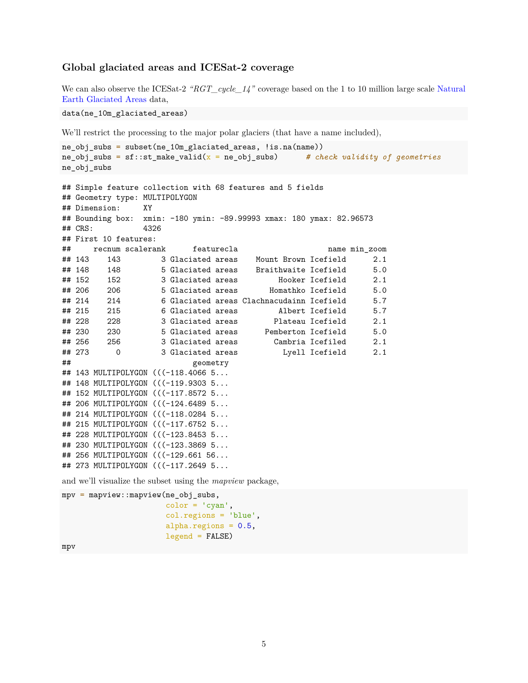## **Global glaciated areas and ICESat-2 coverage**

We can also observe the ICESat-2 *"RGT\_cycle\_14"* coverage based on the 1 to 10 million large scale [Natural](https://www.naturalearthdata.com/downloads/10m-physical-vectors/10m-glaciated-areas/) [Earth Glaciated Areas](https://www.naturalearthdata.com/downloads/10m-physical-vectors/10m-glaciated-areas/) data,

data(ne\_10m\_glaciated\_areas)

We'll restrict the processing to the major polar glaciers (that have a name included),

```
ne_obj_subs = subset(ne_10m_glaciated_areas, !is.na(name))
ne_obj_subs = sf::st_make_valid(x = ne_obj_subs) # check validity of geometries
ne_obj_subs
## Simple feature collection with 68 features and 5 fields
## Geometry type: MULTIPOLYGON
## Dimension: XY
## Bounding box: xmin: -180 ymin: -89.99993 xmax: 180 ymax: 82.96573
## CRS: 4326
## First 10 features:
## recnum scalerank featurecla name min_zoom
## 143 143 3 Glaciated areas Mount Brown Icefield 2.1
## 148 148 5 Glaciated areas Braithwaite Icefield 5.0
## 152 152 3 Glaciated areas Hooker Icefield 2.1
## 206 206 5 Glaciated areas Homathko Icefield 5.0
## 214 214 6 Glaciated areas Clachnacudainn Icefield 5.7
## 215 215 6 Glaciated areas Albert Icefield 5.7
## 228 228 3 Glaciated areas Plateau Icefield 2.1
## 230 230 5 Glaciated areas Pemberton Icefield 5.0
## 256 256 3 Glaciated areas Cambria Icefiled 2.1
## 273 0 3 Glaciated areas Lyell Icefield 2.1
## geometry
## 143 MULTIPOLYGON (((-118.4066 5...
## 148 MULTIPOLYGON (((-119.9303 5...
## 152 MULTIPOLYGON (((-117.8572 5...
## 206 MULTIPOLYGON (((-124.6489 5...
## 214 MULTIPOLYGON (((-118.0284 5...
## 215 MULTIPOLYGON (((-117.6752 5...
## 228 MULTIPOLYGON (((-123.8453 5...
## 230 MULTIPOLYGON (((-123.3869 5...
## 256 MULTIPOLYGON (((-129.661 56...
## 273 MULTIPOLYGON (((-117.2649 5...
```
and we'll visualize the subset using the *mapview* package,

```
mpv = mapview::mapview(ne_obj_subs,
                       color = 'cyan',col.regions = 'blue',
                       alpha.regions = 0.5,
                       legend = FALSE)
```
mpv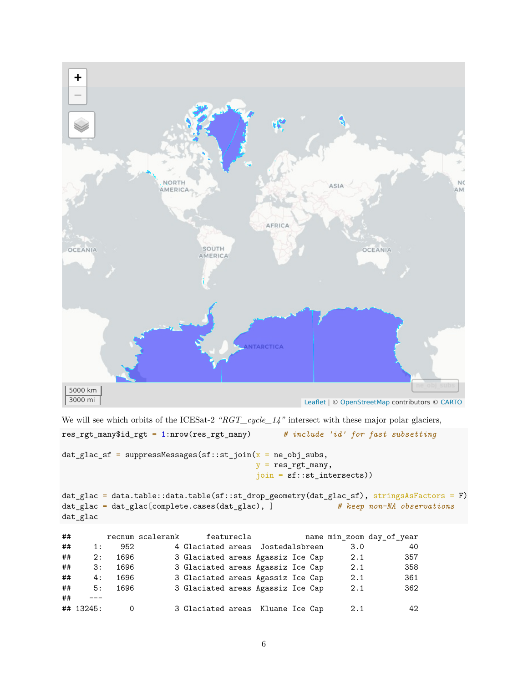

We will see which orbits of the ICESat-2 *"RGT\_cycle\_14"* intersect with these major polar glaciers,

```
res_rgt_many$id_rgt = 1:nrow(res_rgt_many) # include 'id' for fast subsetting
dat_glac_sf = suppressMessages(st::st\_join(x = ne\_obj_subs,y = res\_rgt\_many,
                                 join = sf::st_intersects))
dat_glac = data.table::data.table(sf::st_drop_geometry(dat_glac_sf), stringsAsFactors = F)
dat_glac = dat_glac[complete.cases(dat_glac), ] # keep non-NA observations
dat_glac
## recnum scalerank featurecla name min_zoom day_of_year
## 1: 952 4 Glaciated areas Jostedalsbreen 3.0 40
## 2: 1696 3 Glaciated areas Agassiz Ice Cap 2.1 357
## 3: 1696 3 Glaciated areas Agassiz Ice Cap 2.1 358
## 4: 1696 3 Glaciated areas Agassiz Ice Cap 2.1 361
## 5: 1696 3 Glaciated areas Agassiz Ice Cap 2.1 362
## ---
## 13245: 0 3 Glaciated areas Kluane Ice Cap 2.1 42
```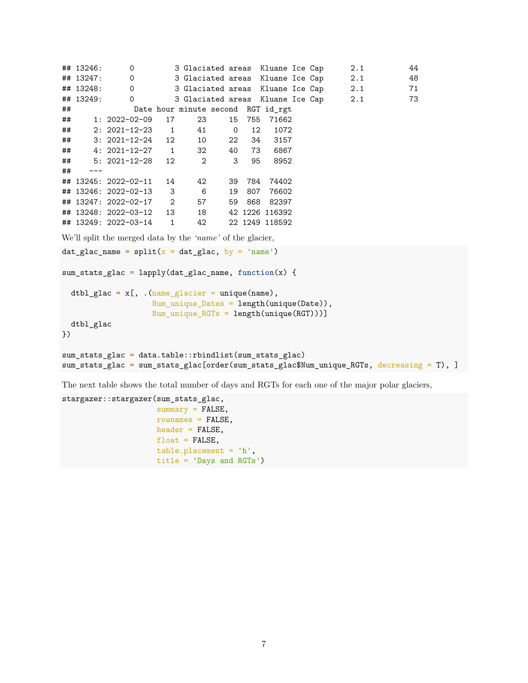```
## 13246: 0 3 Glaciated areas Kluane Ice Cap 2.1 44
## 13247: 0 3 Glaciated areas Kluane Ice Cap 2.1 48
## 13248: 0 3 Glaciated areas Kluane Ice Cap 2.1 71
## 13249: 0 3 Glaciated areas Kluane Ice Cap 2.1 73
## Date hour minute second RGT id_rgt
## 1: 2022-02-09 17 23 15 755 71662
## 2: 2021-12-23 1 41 0 12 1072
## 3: 2021-12-24 12 10 22 34 3157
## 4: 2021-12-27 1 32 40 73 6867
## 5: 2021-12-28 12 2 3 95 8952
## ---
## 13245: 2022-02-11 14 42 39 784 74402
## 13246: 2022-02-13 3 6 19 807 76602
## 13247: 2022-02-17 2 57 59 868 82397
## 13248: 2022-03-12 13 18 42 1226 116392
## 13249: 2022-03-14 1 42 22 1249 118592
We'll split the merged data by the 'name' of the glacier,
dat_glac_name = split(x = dat_glac, by = 'name')sum_stats_glac = lapply(dat_glac_name, function(x) {
 dtbl_glac = x[, .(name_glacier = unique(name),
                Num_unique_Dates = length(unique(Date)),
                Num_unique_RGTs = length(unique(RGT)))]
 dtbl_glac
})
sum_stats_glac = data.table::rbindlist(sum_stats_glac)
sum_stats_glac = sum_stats_glac[order(sum_stats_glac$Num_unique_RGTs, decreasing = T), ]
```
The next table shows the total number of days and RGTs for each one of the major polar glaciers,

```
stargazer::stargazer(sum_stats_glac,
                     summary = FALSE,rownames = FALSE,
                     header = FALSE,float = FALSE,table.placement = 'h',
                     title = 'Days and RGTs')
```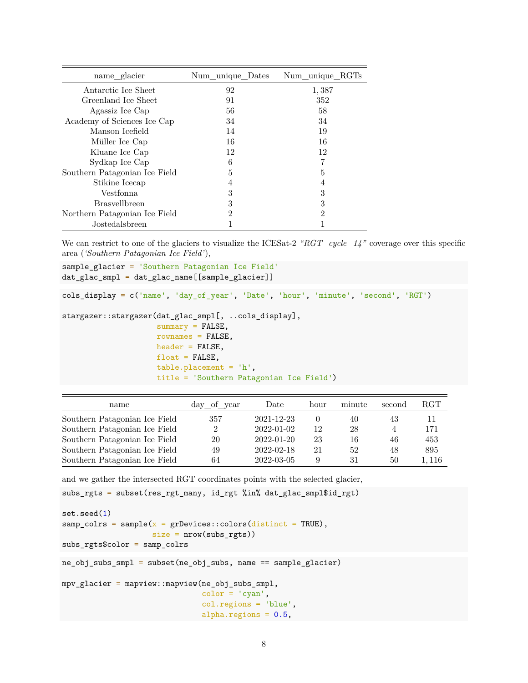| name_glacier                  | Num unique Dates | Num unique RGTs |
|-------------------------------|------------------|-----------------|
| Antarctic Ice Sheet           | 92               | 1,387           |
| Greenland Ice Sheet           | 91               | 352             |
| Agassiz Ice Cap               | 56               | 58              |
| Academy of Sciences Ice Cap   | 34               | 34              |
| Manson Icefield               | 14               | 19              |
| Müller Ice Cap                | 16               | 16              |
| Kluane Ice Cap                | 12               | 12              |
| Sydkap Ice Cap                | 6                |                 |
| Southern Patagonian Ice Field | 5                | 5               |
| Stikine Icecap                |                  | 4               |
| Vestfonna                     | 3                | 3               |
| <b>Brasvellbreen</b>          | 3                | 3               |
| Northern Patagonian Ice Field | 2                | $\mathfrak{D}$  |
| Jostedalsbreen                |                  |                 |

We can restrict to one of the glaciers to visualize the ICESat-2 "RGT\_cycle\_14" coverage over this specific area (*'Southern Patagonian Ice Field'*),

```
sample_glacier = 'Southern Patagonian Ice Field'
dat_glac_smpl = dat_glac_name[[sample_glacier]]
cols_display = c('name', 'day_of_year', 'Date', 'hour', 'minute', 'second', 'RGT')
stargazer::stargazer(dat_glac_smpl[, ..cols_display],
                     summary = FALSE,rownames = FALSE,
                     header = FALSE,
                     float = FALSE,table.placement = 'h',
                     title = 'Southern Patagonian Ice Field')
```

| name                          | $day_of\_year$ | Date             | hour     | minute | second | $_{\rm RGT}$ |
|-------------------------------|----------------|------------------|----------|--------|--------|--------------|
| Southern Patagonian Ice Field | 357            | 2021-12-23       | $\Omega$ | 40     | 43     | 11           |
| Southern Patagonian Ice Field | 2              | 2022-01-02       | 12       | 28     |        | 171          |
| Southern Patagonian Ice Field | 20             | 2022-01-20       | 23       | 16     | 46     | 453          |
| Southern Patagonian Ice Field | 49             | $2022 - 02 - 18$ | 21       | 52     | 48     | 895          |
| Southern Patagonian Ice Field | 64             | 2022-03-05       | 9        | 31     | 50     | 1.116        |

and we gather the intersected RGT coordinates points with the selected glacier,

```
subs_rgts = subset(res_rgt_many, id_rgt %in% dat_glac_smpl$id_rgt)
set.seed(1)
\texttt{sample} = sample(\texttt{x} = grDevices::colors(distinct = TRUE),
                     size = nrow(subs_rgts)subs_rgts$color = samp_colrs
```
ne\_obj\_subs\_smpl = subset(ne\_obj\_subs, name == sample\_glacier)

```
mpv_glacier = mapview::mapview(ne_obj_subs_smpl,
                               color = 'cyan',col.regions = 'blue',
                               alpha.regions = 0.5,
```